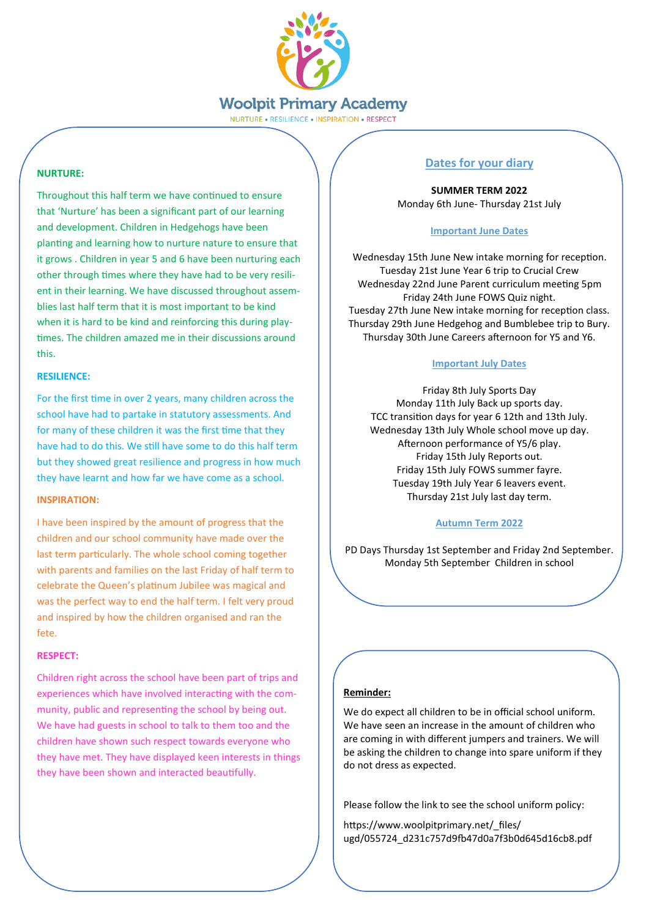

NURTURE . RESILIENCE . INSPIRATION . RESPECT

## **NURTURE:**

Throughout this half term we have continued to ensure that 'Nurture' has been a significant part of our learning and development. Children in Hedgehogs have been planting and learning how to nurture nature to ensure that it grows . Children in year 5 and 6 have been nurturing each other through times where they have had to be very resilient in their learning. We have discussed throughout assemblies last half term that it is most important to be kind when it is hard to be kind and reinforcing this during playtimes. The children amazed me in their discussions around this.

## **RESILIENCE:**

For the first time in over 2 years, many children across the school have had to partake in statutory assessments. And for many of these children it was the first time that they have had to do this. We still have some to do this half term but they showed great resilience and progress in how much they have learnt and how far we have come as a school.

## **INSPIRATION:**

I have been inspired by the amount of progress that the children and our school community have made over the last term particularly. The whole school coming together with parents and families on the last Friday of half term to celebrate the Queen's platinum Jubilee was magical and was the perfect way to end the half term. I felt very proud and inspired by how the children organised and ran the fete.

# **RESPECT:**

Children right across the school have been part of trips and experiences which have involved interacting with the community, public and representing the school by being out. We have had guests in school to talk to them too and the children have shown such respect towards everyone who they have met. They have displayed keen interests in things they have been shown and interacted beautifully.

# **Dates for your diary**

**SUMMER TERM 2022** Monday 6th June- Thursday 21st July

## **Important June Dates**

Wednesday 15th June New intake morning for reception. Tuesday 21st June Year 6 trip to Crucial Crew Wednesday 22nd June Parent curriculum meeting 5pm Friday 24th June FOWS Quiz night. Tuesday 27th June New intake morning for reception class. Thursday 29th June Hedgehog and Bumblebee trip to Bury. Thursday 30th June Careers afternoon for Y5 and Y6.

## **Important July Dates**

Friday 8th July Sports Day Monday 11th July Back up sports day. TCC transition days for year 6 12th and 13th July. Wednesday 13th July Whole school move up day. Afternoon performance of Y5/6 play. Friday 15th July Reports out. Friday 15th July FOWS summer fayre. Tuesday 19th July Year 6 leavers event. Thursday 21st July last day term.

# **Autumn Term 2022**

PD Days Thursday 1st September and Friday 2nd September. Monday 5th September Children in school

# **Reminder:**

We do expect all children to be in official school uniform. We have seen an increase in the amount of children who are coming in with different jumpers and trainers. We will be asking the children to change into spare uniform if they do not dress as expected.

Please follow the link to see the school uniform policy:

https://www.woolpitprimary.net/ files/ ugd/055724\_d231c757d9fb47d0a7f3b0d645d16cb8.pdf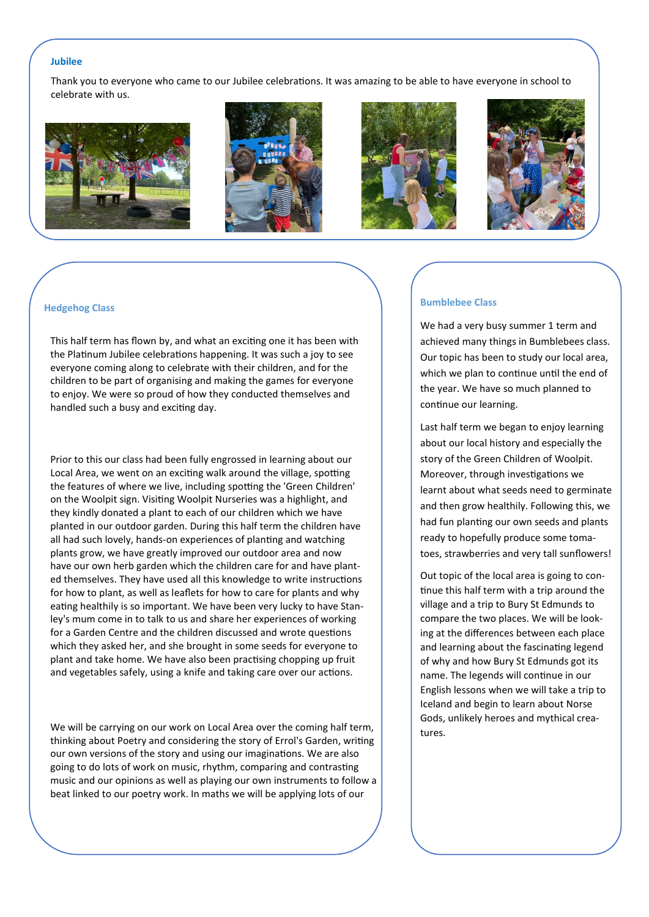#### **Jubilee**

Thank you to everyone who came to our Jubilee celebrations. It was amazing to be able to have everyone in school to celebrate with us.









#### **Hedgehog Class**

This half term has flown by, and what an exciting one it has been with the Platinum Jubilee celebrations happening. It was such a joy to see everyone coming along to celebrate with their children, and for the children to be part of organising and making the games for everyone to enjoy. We were so proud of how they conducted themselves and handled such a busy and exciting day.

Prior to this our class had been fully engrossed in learning about our Local Area, we went on an exciting walk around the village, spotting the features of where we live, including spotting the 'Green Children' on the Woolpit sign. Visiting Woolpit Nurseries was a highlight, and they kindly donated a plant to each of our children which we have planted in our outdoor garden. During this half term the children have all had such lovely, hands-on experiences of planting and watching plants grow, we have greatly improved our outdoor area and now have our own herb garden which the children care for and have planted themselves. They have used all this knowledge to write instructions for how to plant, as well as leaflets for how to care for plants and why eating healthily is so important. We have been very lucky to have Stanley's mum come in to talk to us and share her experiences of working for a Garden Centre and the children discussed and wrote questions which they asked her, and she brought in some seeds for everyone to plant and take home. We have also been practising chopping up fruit and vegetables safely, using a knife and taking care over our actions.

We will be carrying on our work on Local Area over the coming half term, thinking about Poetry and considering the story of Errol's Garden, writing our own versions of the story and using our imaginations. We are also going to do lots of work on music, rhythm, comparing and contrasting music and our opinions as well as playing our own instruments to follow a beat linked to our poetry work. In maths we will be applying lots of our

## **Bumblebee Class**

We had a very busy summer 1 term and achieved many things in Bumblebees class. Our topic has been to study our local area, which we plan to continue until the end of the year. We have so much planned to continue our learning.

Last half term we began to enjoy learning about our local history and especially the story of the Green Children of Woolpit. Moreover, through investigations we learnt about what seeds need to germinate and then grow healthily. Following this, we had fun planting our own seeds and plants ready to hopefully produce some tomatoes, strawberries and very tall sunflowers!

Out topic of the local area is going to continue this half term with a trip around the village and a trip to Bury St Edmunds to compare the two places. We will be looking at the differences between each place and learning about the fascinating legend of why and how Bury St Edmunds got its name. The legends will continue in our English lessons when we will take a trip to Iceland and begin to learn about Norse Gods, unlikely heroes and mythical creatures.